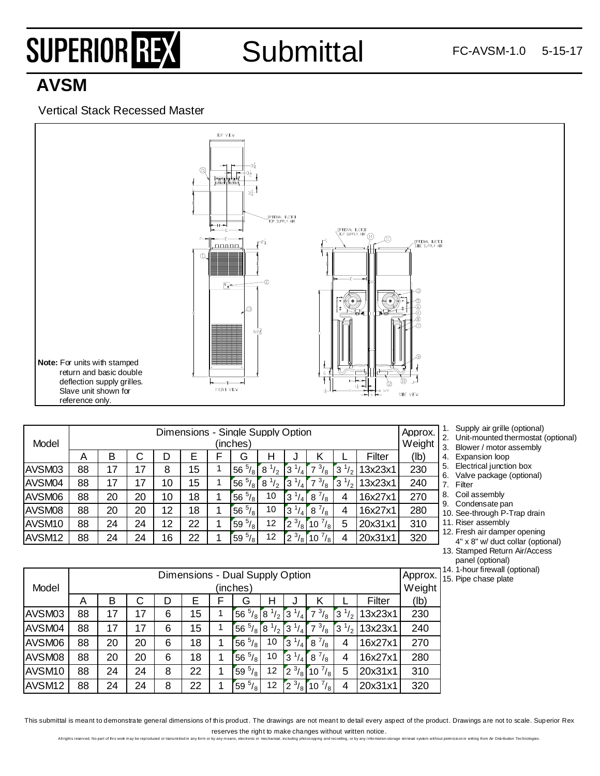# SUPERIOR REX

### **Submittal**

### **AVSM**

#### Vertical Stack Recessed Master



| Model              |    | Dimensions - Single Supply Option<br>(inches) |    |    |    |  |                     |                  |                               | Approx.<br>Weight   |                    |         |      |
|--------------------|----|-----------------------------------------------|----|----|----|--|---------------------|------------------|-------------------------------|---------------------|--------------------|---------|------|
|                    | Α  | в                                             |    | D  | Е  |  | G                   | н                |                               | κ                   |                    | Filter  | (Ib) |
| <b>AVSM03</b>      | 88 | 17                                            | 17 | 8  | 15 |  | $^{5}/_{8}$  <br>56 | $^{1}/_{2}$<br>8 | 3<br>4                        | $^{3}/_{8}$<br>7    | 3<br>$^{1}/_{2}$ . | 13x23x1 | 230  |
| AVSM04             | 88 | 17                                            | 17 | 10 | 15 |  | $^{5}/_{8}$<br>56   | $8^{1/2}$        | 3<br>ا ۱                      | $\frac{3}{8}$<br>⇁  | 3<br>$^{1}/_{2}$   | 13x23x1 | 240  |
| AVSM06             | 88 | 20                                            | 20 | 10 | 18 |  | $^{5}/_{8}$ 1<br>56 | 10               | 3<br>$\overline{4}$           | $8^{7}/_8$          | 4                  | 16x27x1 | 270  |
| AVSM08             | 88 | 20                                            | 20 | 12 | 18 |  | $^{5}/_{8}$ 1<br>56 | 10               | 3<br>$\mathbf{A}$             | $8^{7}/_8$          | 4                  | 16x27x1 | 280  |
| AVSM <sub>10</sub> | 88 | 24                                            | 24 | 12 | 22 |  | $^{5}/_{8}$ 1<br>59 | 12               | $^{3}/_{8}$<br>$\mathbf{2}$   | $^{7}/_{8}$<br>10   | 5                  | 20x31x1 | 310  |
| AVSM <sub>12</sub> | 88 | 24                                            | 24 | 16 | 22 |  | $^{5}/_{8}$ 1<br>59 | 12               | $^{3}/_{8}$<br>$\overline{2}$ | $^{7}/_{8}$ 1<br>10 | 4                  | 20x31x1 | 320  |

- 1. Supply air grille (optional)
- 2. Unit-mounted thermostat (optional)
- 3. Blower / motor assembly
- 4. Expansion loop
- 5. Electrical junction box
- 6. Valve package (optional) 7. Filter
- 8. Coil assembly
- 9. Condensate pan
- 10. See-through P-Trap drain
- 11. Riser assembly
- 12. Fresh air damper opening 4" x 8" w/ duct collar (optional)
- 13. Stamped Return Air/Access panel (optional)
- 14. 1-hour firewall (optional)
- 15. Pipe chase plate

|                    | Dimensions - Dual Supply Option |          |    |   |    |  |                   |                               | Approx.                   |               |                    |         |      |
|--------------------|---------------------------------|----------|----|---|----|--|-------------------|-------------------------------|---------------------------|---------------|--------------------|---------|------|
| Model              |                                 | (inches) |    |   |    |  |                   |                               |                           | Weight        |                    |         |      |
|                    | Α                               | в        | C  | D | Е  |  | G                 | н                             | J                         | κ             |                    | Filter  | (lb) |
| AVSM03             | 88                              | 17       | 17 | 6 | 15 |  | 56                | $\frac{5}{8}$ 8 $\frac{1}{2}$ | $3^{1/4}$                 | $7^{3}/_8$    | $^{1}/_{2}$ .<br>3 | 13x23x1 | 230  |
| AVSM04             | 88                              | 17       | 17 | 6 | 15 |  | $^{5}/_{8}$<br>56 | Γ8<br>$\frac{1}{2}$           | ľЗ.                       | $\frac{3}{8}$ | $\frac{1}{2}$<br>3 | 13x23x1 | 240  |
| AVSM06             | 88                              | 20       | 20 | 6 | 18 |  | $^{5}/_8$<br>56   | 10                            | $3^{1/4}$                 | $8^{7}/_8$    | 4                  | 16x27x1 | 270  |
| AVSM08             | 88                              | 20       | 20 | 6 | 18 |  | $^{5}/_8$<br>56   | 10                            | $1/3$ $1/4$               | $8^{7}/_8$    | 4                  | 16x27x1 | 280  |
| AVSM <sub>10</sub> | 88                              | 24       | 24 | 8 | 22 |  | $^{5}/_{8}$<br>59 | 12                            | $\left[2^{3}/_{8}\right]$ | $10^{7}/_8$   | 5                  | 20x31x1 | 310  |
| AVSM <sub>12</sub> | 88                              | 24       | 24 | 8 | 22 |  | $^{5}/_{8}$<br>59 | 12                            | $^{3}/_{8}$  <br>Ī2       | $10^{7}/_8$   | 4                  | 20x31x1 | 320  |

This submittal is meant to demonstrate general dimensions of this product. The drawings are not meant to detail every aspect of the product. Drawings are not to scale. Superior Rex reserves the right to make changes without written notice.<br>I by any means, electronic or mechanical, including obtocopying and recording, or by any information sprage strievel system without permission in witho from Air Di

All rights reserved. No part of this work may be reproduced or transmitted in any form or by any means, electronic or mechanical, including photocopying and re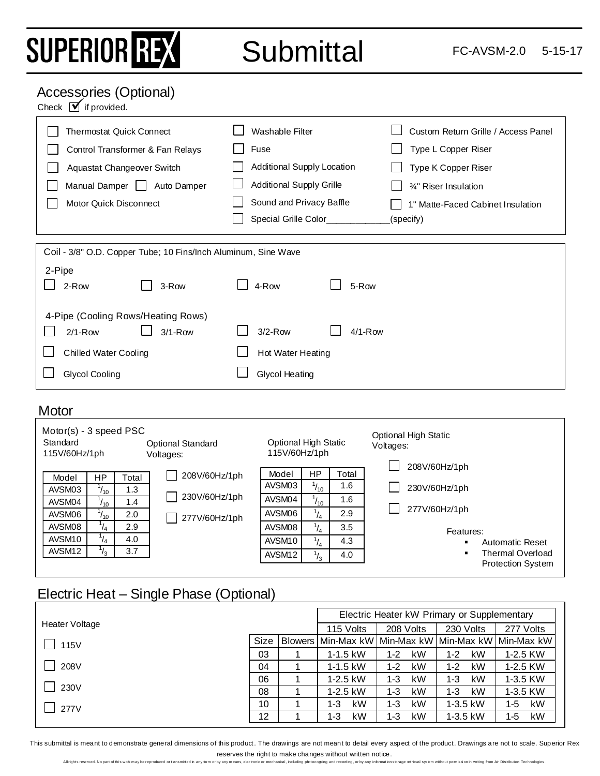# SUPERIOR REX

Submittal FC-AVSM-2.0 5-15-17

#### Accessories (Optional)

Check  $\overrightarrow{M}$  if provided.

| <b>Thermostat Quick Connect</b>                                | Washable Filter                   | Custom Return Grille / Access Panel |  |  |  |  |
|----------------------------------------------------------------|-----------------------------------|-------------------------------------|--|--|--|--|
| Control Transformer & Fan Relays                               | Fuse                              | Type L Copper Riser                 |  |  |  |  |
| Aquastat Changeover Switch                                     | <b>Additional Supply Location</b> | Type K Copper Riser                 |  |  |  |  |
| Manual Damper  <br>Auto Damper                                 | <b>Additional Supply Grille</b>   | 34" Riser Insulation                |  |  |  |  |
| Motor Quick Disconnect                                         | Sound and Privacy Baffle          | 1" Matte-Faced Cabinet Insulation   |  |  |  |  |
|                                                                | Special Grille Color_             | (specify)                           |  |  |  |  |
|                                                                |                                   |                                     |  |  |  |  |
| Coil - 3/8" O.D. Copper Tube; 10 Fins/Inch Aluminum, Sine Wave |                                   |                                     |  |  |  |  |
| 2-Pipe                                                         |                                   |                                     |  |  |  |  |
| 2-Row<br>3-Row                                                 | 4-Row<br>5-Row                    |                                     |  |  |  |  |
| 4-Pipe (Cooling Rows/Heating Rows)                             |                                   |                                     |  |  |  |  |
| $3/1 - Row$<br>$2/1 - Row$                                     | $3/2$ -Row<br>$4/1-Row$           |                                     |  |  |  |  |
| <b>Chilled Water Cooling</b>                                   | Hot Water Heating                 |                                     |  |  |  |  |
| Glycol Cooling                                                 | <b>Glycol Heating</b>             |                                     |  |  |  |  |
|                                                                |                                   |                                     |  |  |  |  |

#### **Motor**

| $Motor(s) - 3 speed PSC$<br>Standard<br><b>Optional Standard</b><br>115V/60Hz/1ph<br>Voltages: |               |       | <b>Optional High Static</b><br>115V/60Hz/1ph |                    |                | <b>Optional High Static</b><br>Voltages:<br>208V/60Hz/1ph |                          |  |  |
|------------------------------------------------------------------------------------------------|---------------|-------|----------------------------------------------|--------------------|----------------|-----------------------------------------------------------|--------------------------|--|--|
| Model                                                                                          | HP            | Total | 208V/60Hz/1ph                                | Model              | <b>HP</b>      | Total                                                     |                          |  |  |
| AVSM03                                                                                         | $1_{10}$      | 1.3   |                                              | AVSM03             | $\frac{1}{10}$ | 1.6                                                       | 230V/60Hz/1ph            |  |  |
| AVSM04                                                                                         | $1_{10}$      | 1.4   | 230V/60Hz/1ph                                | AVSM04             | $\frac{1}{10}$ | 1.6                                                       |                          |  |  |
| AVSM06                                                                                         | $1_{10}$      | 2.0   | 277V/60Hz/1ph                                | AVSM06             | $\frac{1}{4}$  | 2.9                                                       | 277V/60Hz/1ph            |  |  |
| AVSM08                                                                                         | $\frac{1}{4}$ | 2.9   |                                              | AVSM08             | $^{1}/_{4}$    | 3.5                                                       | Features:                |  |  |
| AVSM10                                                                                         | $\frac{1}{4}$ | 4.0   |                                              | AVSM <sub>10</sub> | $\frac{1}{4}$  | 4.3                                                       | <b>Automatic Reset</b>   |  |  |
| AVSM <sub>12</sub>                                                                             | $\frac{1}{3}$ | 3.7   |                                              | AVSM <sub>12</sub> | $^{1/3}$       | 4.0                                                       | Thermal Overload         |  |  |
|                                                                                                |               |       |                                              |                    |                |                                                           | <b>Protection System</b> |  |  |

### Electric Heat – Single Phase (Optional)

|                |             |           | Electric Heater kW Primary or Supplementary         |               |             |
|----------------|-------------|-----------|-----------------------------------------------------|---------------|-------------|
| Heater Voltage |             | 115 Volts | 208 Volts                                           | 230 Volts     | 277 Volts   |
| 115V           | <b>Size</b> |           | Blowers Min-Max kW Min-Max kW Min-Max kW Min-Max kW |               |             |
|                | 03          | 1-1.5 kW  | kW<br>$1 - 2$                                       | kW<br>$1 - 2$ | 1-2.5 KW    |
| 208V           | 04          | 1-1.5 kW  | kW<br>$1 - 2$                                       | kW<br>$1 - 2$ | 1-2.5 KW    |
|                | 06          | 1-2.5 kW  | kW<br>$1 - 3$                                       | kW<br>$1 - 3$ | 1-3.5 KW    |
| 230V           | 08          | 1-2.5 kW  | kW<br>$1 - 3$                                       | kW<br>$1 - 3$ | 1-3.5 KW    |
| 277V           | 10          | kW<br>1-3 | kW<br>$1 - 3$                                       | 1-3.5 kW      | kW<br>1-5   |
|                | 12          | kW<br>1-3 | kW<br>$1 - 3$                                       | 1-3.5 kW      | kW<br>$1-5$ |

This submittal is meant to demonstrate general dimensions of this product. The drawings are not meant to detail every aspect of the product. Drawings are not to scale. Superior Rex

reserves the right to make changes without written notice.<br>rby any means, electronic or mechanical, including photocopying and recording, or by any information storage retrieval system without permission in witing from Air All rights reserved. No part of this work may be reproduced or transmitted in any form or by any means, electronic or mechanical, including photocopying and recording, or by any